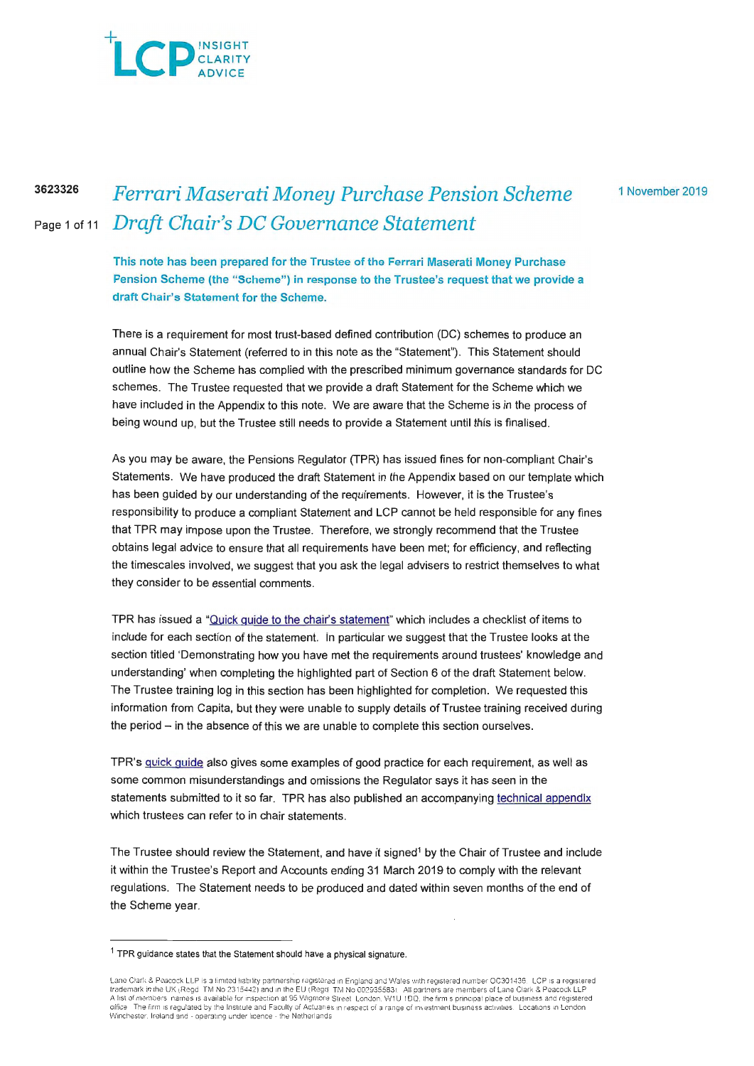# $\Box$  CLARITY ADVICE

**3623326** 

# Page 1 of 11 *Draft Chair's DC Governance Statement Ferrari Maserati Money Purchase Pension Scheme*

1 November 2019

**This note has been prepared for the Trustee of the Ferrari Maserati Money Purchase Pension Scheme (the "Scheme") in response to the Trustee's request that we provide a draft Chair's Statement for the Scheme.** 

There is a requirement for most trust-based defined contribution (DC) schemes to produce an annual Chair's Statement (referred to in this note as the "Statement"). This Statement should outline how the Scheme has complied with the prescribed minimum governance standards for DC schemes. The Trustee requested that we provide a draft Statement for the Scheme which we have included in the Appendix to this note. We are aware that the Scheme is in the process of being wound up, but the Trustee still needs to provide a Statement until this is finalised.

As you may be aware, the Pensions Regulator (TPR) has issued fines for non-compliant Chair's Statements. We have produced the draft Statement in the Appendix based on our template which has been guided by our understanding of the requirements. However, it is the Trustee's responsibility to produce a compliant Statement and LCP cannot be held responsible for any fines that TPR may impose upon the Trustee. Therefore, we strongly recommend that the Trustee obtains legal advice to ensure that all requirements have been met; for efficiency, and reflecting the timescales involved, we suggest that you ask the legal advisers to restrict themselves to what they consider to be essential comments.

TPR has issued a "Quick guide to the chair's statement" which includes a checklist of items to include for each section of the statement. In particular we suggest that the Trustee looks at the section titled 'Demonstrating how you have met the requirements around trustees' knowledge and understanding' when completing the highlighted part of Section 6 of the draft Statement below. The Trustee training log in this section has been highlighted for completion. We requested this information from Capita, but they were unable to supply details of Trustee training received during the period - in the absence of this we are unable to complete this section ourselves.

TPR's quick guide also gives some examples of good practice for each requirement, as well as some common misunderstandings and omissions the Regulator says it has seen in the statements submitted to it so far. TPR has also published an accompanying technical appendix which trustees can refer to in chair statements.

The Trustee should review the Statement, and have it signed<sup>1</sup> by the Chair of Trustee and include it within the Trustee's Report and Accounts ending 31 March 2019 to comply with the relevant regulations. The Statement needs to be produced and dated within seven months of the end of the Scheme year.

 $1$  TPR guidance states that the Statement should have a physical signature.

Lane Clark & Peacock LLP is a limited liability partnership registered in England and Wales with registered number OC301436. LCP is a registered<br>trademark in the UK (Regd. TM No 2315442) and in the EU (Regd. TM No 00293558 VVinctiester, Ireland and - operating under licence - the Netherlands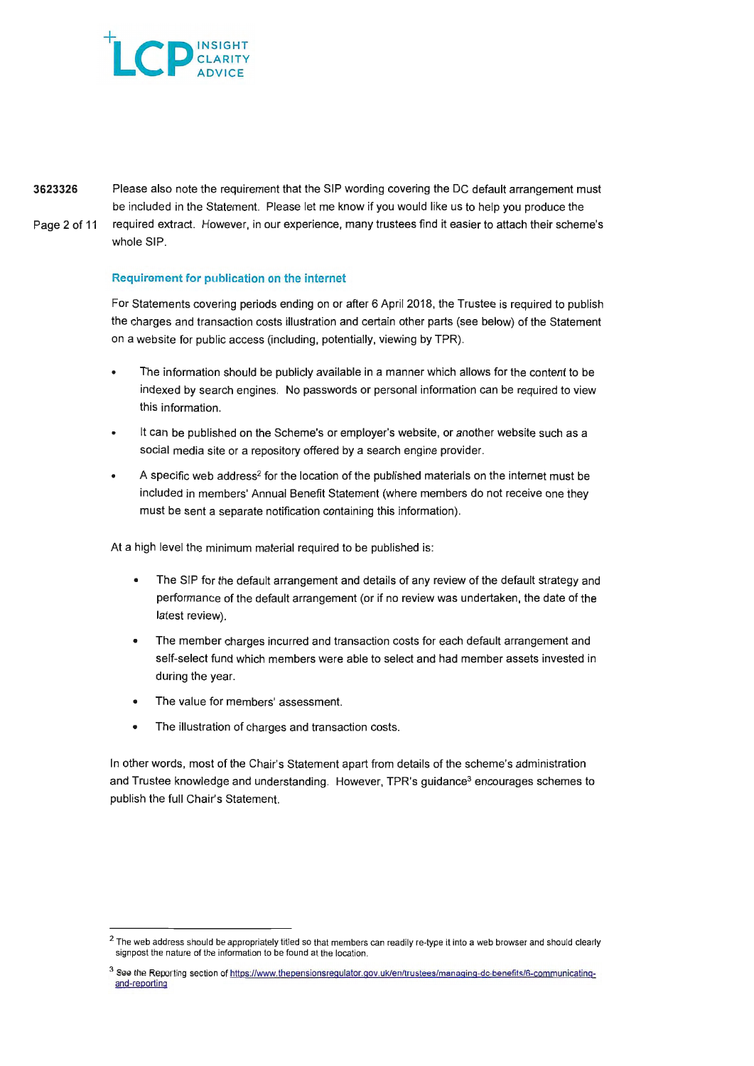

**3623326**  Please also note the requirement that the SIP wording covering the DC default arrangement must be included in the Statement. Please let me know if you would like us to help you produce the Page 2 of 11 required extract. However, in our experience, many trustees find it easier to attach their scheme's whole SIP.

## Requirement for publication on the internet

For Statements covering periods ending on or after 6 April 2018, the Trustee is required to publish the charges and transaction costs illustration and certain other parts (see below) of the Statement on a website for public access (including, potentially, viewing by TPR).

- The information should be publicly available in a manner which allows for the content to be indexed by search engines. No passwords or personal information can be required to view this information.
- It can be published on the Scheme's or employer's website, or another website such as a social media site or a repository offered by a search engine provider.
- A specific web address<sup>2</sup> for the location of the published materials on the internet must be included in members' Annual Benefit Statement (where members do not receive one they must be sent a separate notification containing this information).

At a high level the minimum material required to be published is:

- The SIP for the default arrangement and details of any review of the default strategy and performance of the default arrangement (or if no review was undertaken, the date of the latest review).
- The member charges incurred and transaction costs for each default arrangement and self-select fund which members were able to select and had member assets invested in during the year.
- The value for members' assessment.
- The illustration of charges and transaction costs.

In other words, most of the Chair's Statement apart from details of the scheme's administration and Trustee knowledge and understanding. However, TPR's guidance<sup>3</sup> encourages schemes to publish the full Chair's Statement.

 $2$  The web address should be appropriately titled so that members can readily re-type it into a web browser and should clearly signpost the nature of the information to be found at the location.

<sup>3</sup> See the Reporting section of https://www.thepensionsregulator.gov.uk/en/trustees/managing-dc-benefits/6-communicatingand-reporting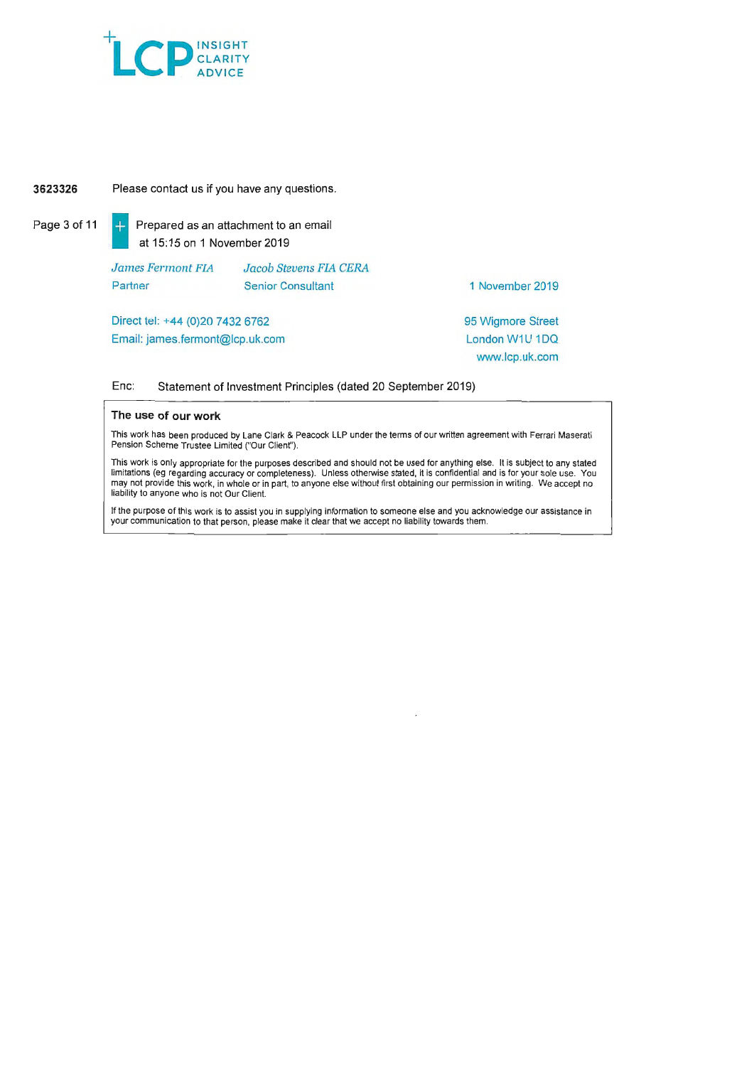

## **3623326** Please contact us if you have any questions.

Page 3 of 11  $\begin{array}{|c|c|c|c|c|}\n\hline\n\end{array}$  Prepared as an attachment to an email at 15: 15 on 1 November 2019

> *James Fennont FIA*  **Partner** *Jacob Stevens FIA CERA*  Senior Consultant

1 November 2019

Direct tel: +44 (0)20 7432 6762 Email: james.fermont@lcp.uk.com 95 Wigmore Street London W1U 1DQ www.lcp.uk.com

### Enc: Statement of Investment Principles (dated 20 September 2019)

### **The use of our work**

This work has been produced by Lane Clark & Peacock LLP under the terms of our written agreement with Ferrari Maserali Pension Scheme Trustee Limited ("Our Client").

This work is only appropriate for the purposes described and should not be used for anything else. It is subject to any stated limitations (eg regarding accuracy or completeness). Unless otherwise stated, it is confidential and is for your sole use. You may not provide this work, in whole or in part, to anyone else without first obtaining our permission in writing . We accept no liability to anyone who is not Our Client.

If the purpose of this work is to assist you in supplying information to someone else and you acknowledge our assistance in your communication to that person, please make it clear that we accept no liability towards them.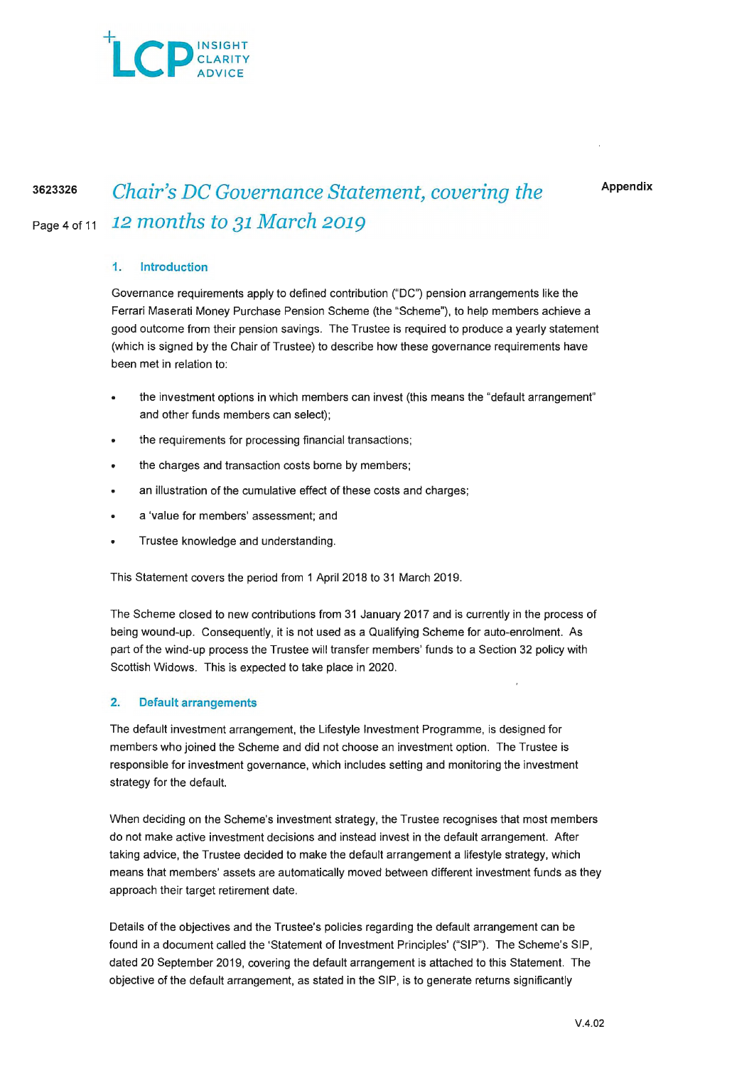

**Appendix** 

# <sup>3623326</sup>*Chair's DC Governance Statement, covering the*  Page4of11 <sup>12</sup>*months to* 31 *March* <sup>2019</sup>

# **1. Introduction**

Governance requirements apply to defined contribution ("DC") pension arrangements like the Ferrari Maserati Money Purchase Pension Scheme (the "Scheme"), to help members achieve a good outcome from their pension savings. The Trustee is required to produce a yearly statement (which is signed by the Chair of Trustee) to describe how these governance requirements have been met in relation to:

- the investment options in which members can invest (this means the "default arrangement" and other funds members can select);
- the requirements for processing financial transactions;
- the charges and transaction costs borne by members;
- an illustration of the cumulative effect of these costs and charges;
- a 'value for members' assessment; and
- Trustee knowledge and understanding.

This Statement covers the period from 1 April 2018 to 31 March 2019.

The Scheme closed to new contributions from 31 January 2017 and is currently in the process of being wound-up. Consequently, it is not used as a Qualifying Scheme for auto-enrolment. As part of the wind-up process the Trustee will transfer members' funds to a Section 32 policy with Scottish Widows. This is expected to take place in 2020.

## **2. Default arrangements**

The default investment arrangement, the Lifestyle Investment Programme, is designed for members who joined the Scheme and did not choose an investment option. The Trustee is responsible for investment governance, which includes setting and monitoring the investment strategy for the default.

When deciding on the Scheme's investment strategy, the Trustee recognises that most members do not make active investment decisions and instead invest in the default arrangement. After taking advice, the Trustee decided to make the default arrangement a lifestyle strategy, which means that members' assets are automatically moved between different investment funds as they approach their target retirement date.

Details of the objectives and the Trustee's policies regarding the default arrangement can be found in a document called the 'Statement of Investment Principles' ("SIP"). The Scheme's SIP, dated 20 September 2019, covering the default arrangement is attached to this Statement. The objective of the default arrangement, as stated in the SIP, is to generate returns significantly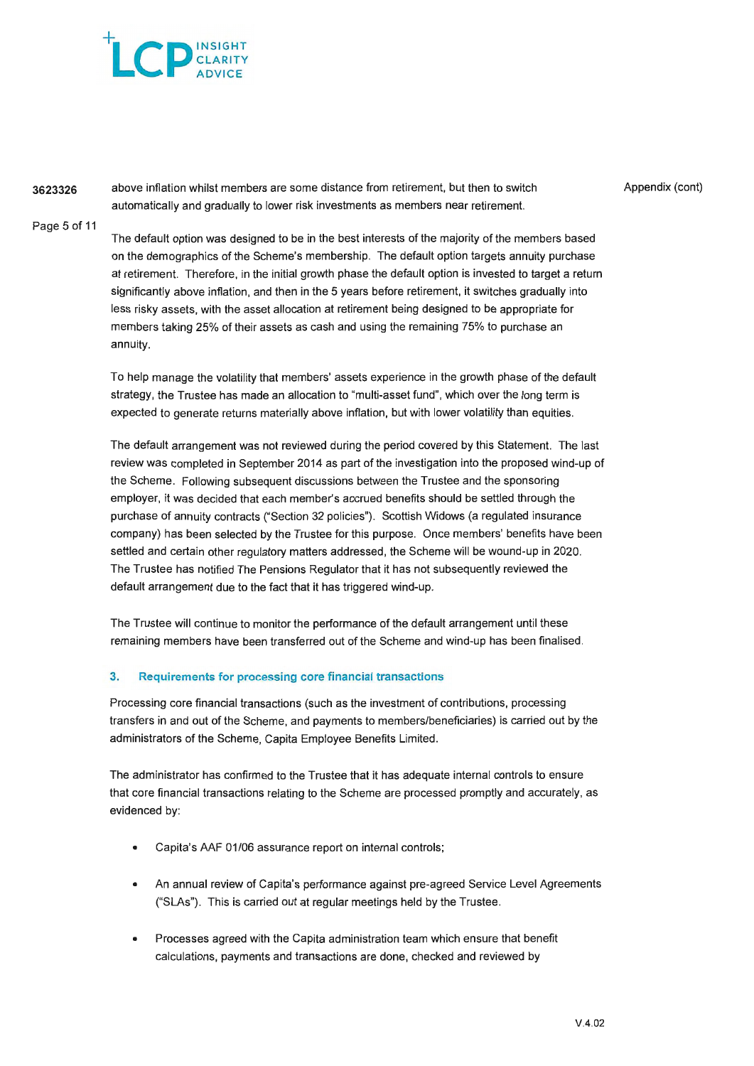

**3623326**  above inflation whilst members are some distance from retirement, but then to switch automatically and gradually to lower risk investments as members near retirement.

Appendix (cont)

Page 5 of 11

The default option was designed to be in the best interests of the majority of the members based on the demographics of the Scheme's membership. The default option targets annuity purchase at retirement. Therefore, in the initial growth phase the default option is invested to target a return significantly above inflation, and then in the 5 years before retirement, it switches gradually into less risky assets, with the asset allocation at retirement being designed to be appropriate for members taking 25% of their assets as cash and using the remaining 75% to purchase an annuity.

To help manage the volatility that members' assets experience in the growth phase of the default strategy, the Trustee has made an allocation to "multi-asset fund", which over the long term is expected to generate returns materially above inflation, but with lower volatility than equities.

The default arrangement was not reviewed during the period covered by this Statement. The last review was completed in September 2014 as part of the investigation into the proposed wind-up of the Scheme. Following subsequent discussions between the Trustee and the sponsoring employer, it was decided that each member's accrued benefits should be settled through the purchase of annuity contracts ("Section 32 policies"). Scottish Widows (a regulated insurance company) has been selected by the Trustee for this purpose. Once members' benefits have been settled and certain other regulatory matters addressed, the Scheme will be wound-up in 2020. The Trustee has notified The Pensions Regulator that it has not subsequently reviewed the default arrangement due to the fact that it has triggered wind-up.

The Trustee will continue to monitor the performance of the default arrangement until these remaining members have been transferred out of the Scheme and wind-up has been finalised.

## 3. Requirements for processing core financial transactions

Processing core financial transactions (such as the investment of contributions, processing transfers in and out of the Scheme, and payments to members/beneficiaries) is carried out by the administrators of the Scheme, Capita Employee Benefits Limited.

The administrator has confirmed to the Trustee that it has adequate internal controls to ensure that core financial transactions relating to the Scheme are processed promptly and accurately, as evidenced by:

- Capita's AAF 01/06 assurance report on internal controls;
- An annual review of Capita's performance against pre-agreed Service Level Agreements ("SLAs"). This is carried out at regular meetings held by the Trustee.
- Processes agreed with the Capita administration team which ensure that benefit calculations, payments and transactions are done, checked and reviewed by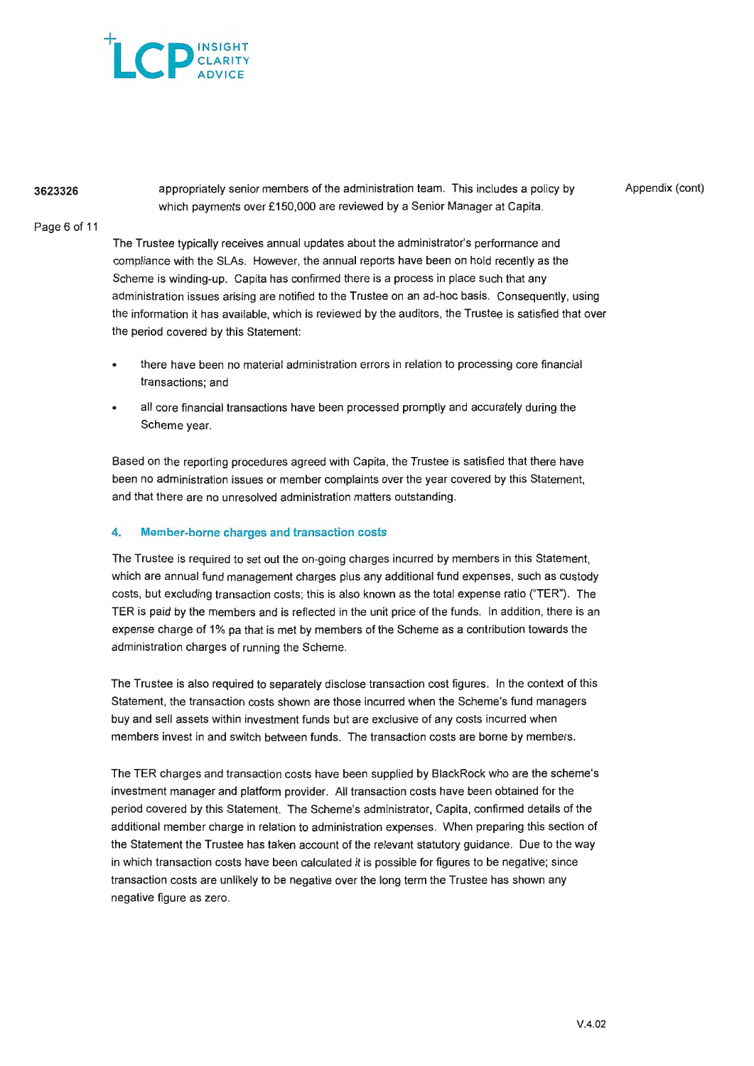

# **3623326**

appropriately senior members of the administration team. This includes a policy by which payments over £150,000 are reviewed by a Senior Manager at Capita.

Appendix (cont)

## Page 6 of 11

The Trustee typically receives annual updates about the administrator's performance and compliance with the SLAs. However, the annual reports have been on hold recently as the Scheme is winding-up. Capita has confirmed there is a process in place such that any administration issues arising are notified to the Trustee on an ad-hoc basis. Consequently, using the information it has available, which is reviewed by the auditors, the Trustee is satisfied that over the period covered by this Statement:

- there have been no material administration errors in relation to processing core financial transactions; and
- all core financial transactions have been processed promptly and accurately during the Scheme year.

Based on the reporting procedures agreed with Capita, the Trustee is satisfied that there have been no administration issues or member complaints over the year covered by this Statement, and that there are no unresolved administration matters outstanding.

## 4. Member-borne charges and transaction costs

The Trustee is required to set out the on-going charges incurred by members in this Statement, which are annual fund management charges plus any additional fund expenses, such as custody costs, but excluding transaction costs; this is also known as the total expense ratio ("TER"). The TER is paid by the members and is reflected in the unit price of the funds. In addition, there is an expense charge of 1% pa that is met by members of the Scheme as a contribution towards the administration charges of running the Scheme.

The Trustee is also required to separately disclose transaction cost figures. In the context of this Statement, the transaction costs shown are those incurred when the Scheme's fund managers buy and sell assets within investment funds but are exclusive of any costs incurred when members invest in and switch between funds. The transaction costs are borne by members.

The TER charges and transaction costs have been supplied by BlackRock who are the scheme's investment manager and platform provider. All transaction costs have been obtained for the period covered by this Statement. The Scheme's administrator, Capita, confirmed details of the additional member charge in relation to administration expenses. When preparing this section of the Statement the Trustee has taken account of the relevant statutory guidance. Due to the way in which transaction costs have been calculated it is possible for figures to be negative; since transaction costs are unlikely to be negative over the long term the Trustee has shown any negative figure as zero.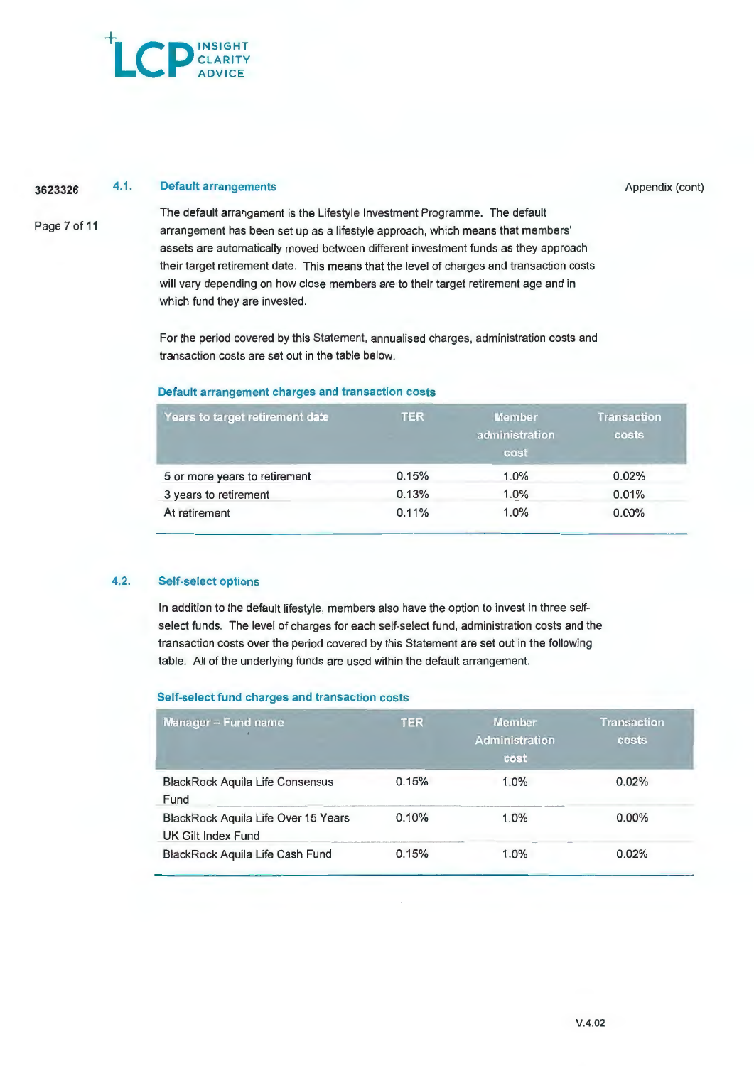# **Example 1** CLARITY ADVICE

#### **3623326 4.1.** Default arrangements

Appendix (cont)

Page 7 of 11

The default arrangement is the Lifestyle Investment Programme. The default arrangement has been set up as a lifestyle approach, which means that members' assets are automatically moved between different investment funds as they approach their target retirement date. This means that the level of charges and transaction costs will vary depending on how close members are to their target retirement age and in which fund they are invested.

For the period covered by this Statement, annualised charges, administration costs and transaction costs are set out in the table below.

## **Default arrangement charges and transaction costs**

| Years to target retirement date | <b>TER</b> | <b>Member</b><br>administration<br>cost | <b>Transaction</b><br>costs |  |
|---------------------------------|------------|-----------------------------------------|-----------------------------|--|
| 5 or more years to retirement   | 0.15%      | 1.0%                                    | 0.02%                       |  |
| 3 years to retirement           | 0.13%      | 1.0%                                    | 0.01%                       |  |
| At retirement                   | 0.11%      | 1.0%                                    | 0.00%                       |  |

## **4.2.** Self-select options

In addition to the default lifestyle, members also have the option to invest in three selfselect funds. The level of charges for each self-select fund, administration costs and the transaction costs over the period covered by this Statement are set out in the following table. All of the underlying funds are used within the default arrangement.

## **Self-select fund charges and transaction costs**

| <b>Manager - Fund name</b>                                | <b>TER</b> | <b>Member</b><br><b>Administration</b><br>cost | <b>Transaction</b><br>costs |
|-----------------------------------------------------------|------------|------------------------------------------------|-----------------------------|
| <b>BlackRock Aquila Life Consensus</b><br>Fund            | 0.15%      | 1.0%                                           | 0.02%                       |
| BlackRock Aquila Life Over 15 Years<br>UK Gilt Index Fund | 0.10%      | 1.0%                                           | $0.00\%$                    |
| BlackRock Aquila Life Cash Fund                           | 0.15%      | 1.0%                                           | 0.02%                       |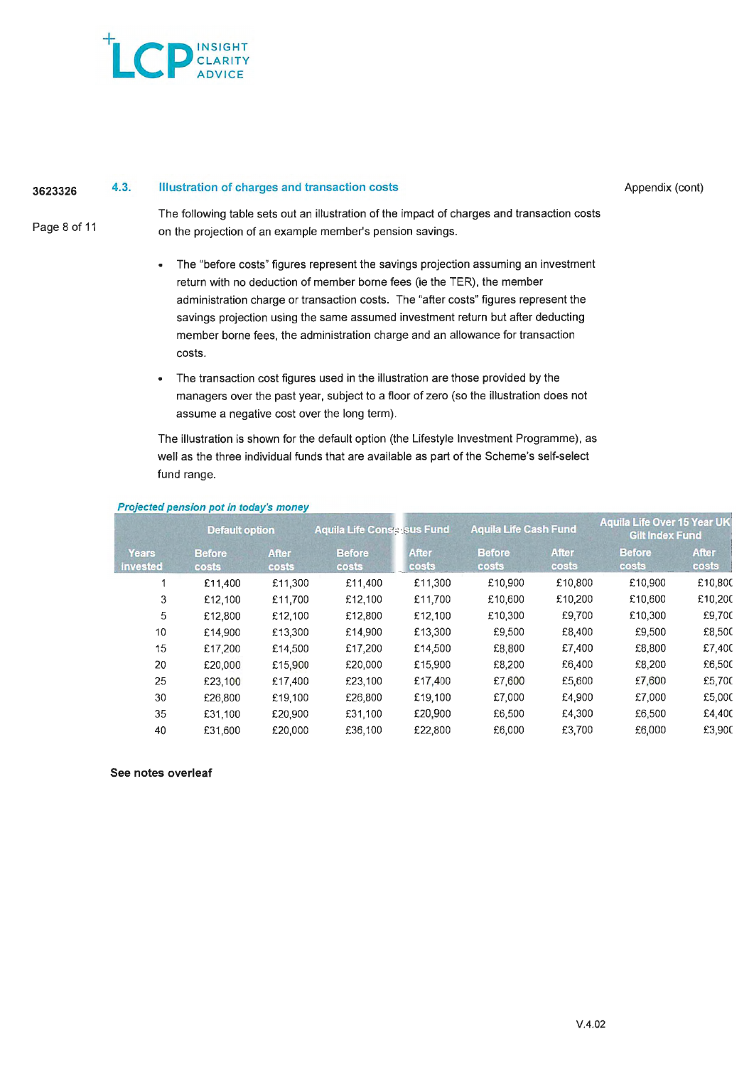

#### **3623326 4.3. Illustration of charges and transaction costs**

Appendix (cont)

Page 8 of 11

The following table sets out an illustration of the impact of charges and transaction costs on the projection of an example member's pension savings.

- The "before costs" figures represent the savings projection assuming an investment return with no deduction of member borne fees (ie the TER), the member administration charge or transaction costs. The "after costs" figures represent the savings projection using the same assumed investment return but after deducting member borne fees, the administration charge and an allowance for transaction costs.
- The transaction cost figures used in the illustration are those provided by the managers over the past year, subject to a floor of zero (so the illustration does not assume a negative cost over the long term).

The illustration is shown for the default option (the Lifestyle Investment Programme), as well as the three individual funds that are available as part of the Scheme's self-select fund range.

|                                 | <b>Default option</b>  |                       | <b>Aquila Life Consersus Fund</b> |                       | <b>Aquila Life Cash Fund</b>  |                       | <b>Aquila Life Over 15 Year UK</b><br><b>Gilt Index Fund</b> |                       |
|---------------------------------|------------------------|-----------------------|-----------------------------------|-----------------------|-------------------------------|-----------------------|--------------------------------------------------------------|-----------------------|
| <b>Years</b><br><b>invested</b> | <b>Before</b><br>costs | <b>After</b><br>costs | <b>Before</b><br>costs            | <b>After</b><br>costs | <b>Before</b><br><b>costs</b> | <b>After</b><br>costs | <b>Before</b><br>costs                                       | <b>After</b><br>costs |
|                                 | £11,400                | £11,300               | £11,400                           | £11,300               | £10,900                       | £10,800               | £10,900                                                      | £10,800               |
| 3                               | £12,100                | £11,700               | £12,100                           | £11,700               | £10,600                       | £10,200               | £10,600                                                      | £10,200               |
| 5                               | £12,800                | £12,100               | £12,800                           | £12,100               | £10,300                       | £9,700                | £10,300                                                      | £9,700                |
| 10                              | £14,900                | £13,300               | £14,900                           | £13,300               | £9,500                        | £8,400                | £9,500                                                       | £8,500                |
| 15                              | £17,200                | £14,500               | £17,200                           | £14,500               | £8,800                        | £7,400                | £8,800                                                       | £7,400                |
| 20                              | £20,000                | £15.900               | £20,000                           | £15,900               | £8,200                        | £6,400                | £8,200                                                       | £6,500                |
| 25                              | £23,100                | £17,400               | £23,100                           | £17,400               | £7.600                        | £5,600                | £7,600                                                       | £5,700                |
| 30                              | £26,800                | £19,100               | £26,800                           | £19,100               | £7,000                        | £4.900                | £7,000                                                       | £5,000                |
| 35                              | £31,100                | £20,900               | £31,100                           | £20,900               | £6,500                        | £4,300                | £6,500                                                       | £4,400                |
| 40                              | £31,600                | £20,000               | £36,100                           | £22,800               | £6,000                        | £3,700                | £6,000                                                       | £3,900                |

## **Projected pension pot in today's money**

## **See notes overleaf**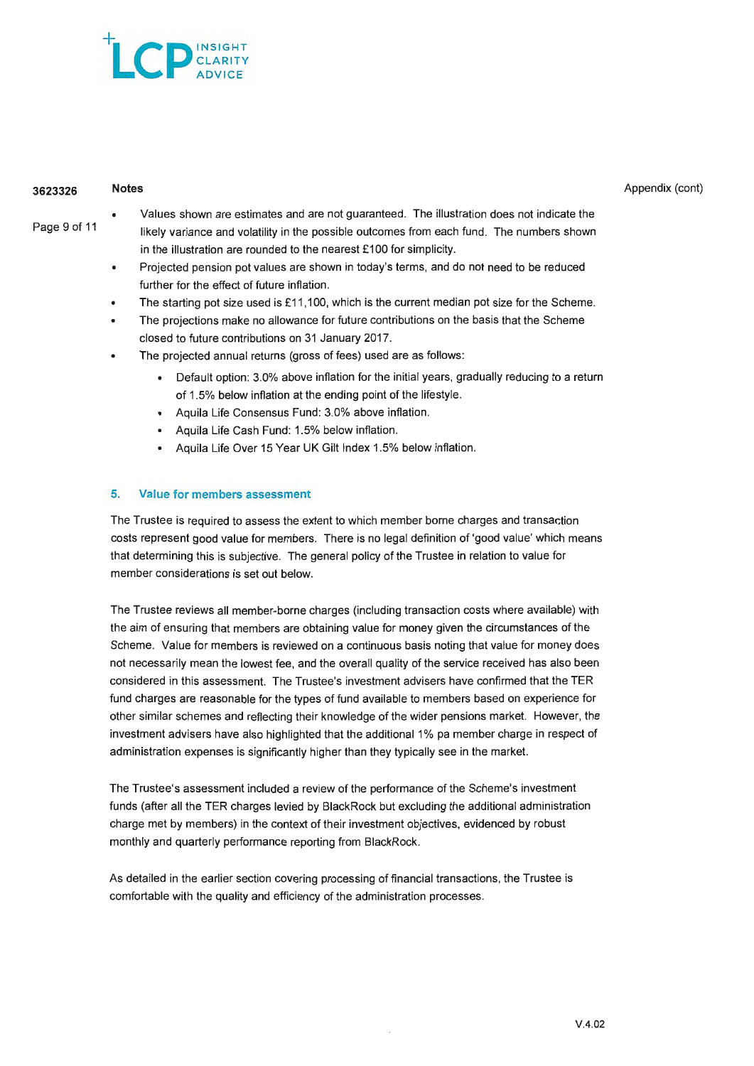

#### **3623326 Notes**

Appendix (cont)

- Page 9 of 11
- Values shown are estimates and are not guaranteed. The illustration does not indicate the likely variance and volatility in the possible outcomes from each fund. The numbers shown in the illustration are rounded to the nearest £100 for simplicity.
	- Projected pension pot values are shown in today's terms, and do not need to be reduced further for the effect of future inflation.
	- The starting pot size used is £11,100, which is the current median pot size for the Scheme.
	- The projections make no allowance for future contributions on the basis that the Scheme closed to future contributions on 31 January 2017.
	- The projected annual returns (gross of fees) used are as follows:
		- Default option: 3.0% above inflation for the initial years, gradually reducing to a return of 1.5% below inflation at the ending point of the lifestyle.
		- Aquila Life Consensus Fund: 3.0% above inflation.
		- Aquila Life Cash Fund: 1.5% below inflation.
		- Aquila Life Over 15 Year UK Gilt Index 1.5% below inflation.

## **5. Value for members assessment**

The Trustee is required to assess the extent to which member borne charges and transaction costs represent good value for members. There is no legal definition of 'good value' which means that determining this is subjective. The general policy of the Trustee in relation to value for member considerations is set out below.

The Trustee reviews all member-borne charges (including transaction costs where available) with the aim of ensuring that members are obtaining value for money given the circumstances of the Scheme. Value for members is reviewed on a continuous basis noting that value for money does not necessarily mean the lowest fee, and the overall quality of the service received has also been considered in this assessment. The Trustee's investment advisers have confirmed that the TER fund charges are reasonable for the types of fund available to members based on experience for other similar schemes and reflecting their knowledge of the wider pensions market. However, the investment advisers have also highlighted that the additional 1% pa member charge in respect of administration expenses is significantly higher than they typically see in the market.

The Trustee's assessment included a review of the performance of the Scheme's investment funds (after all the TER charges levied by BlackRock but excluding the additional administration charge met by members) in the context of their investment objectives, evidenced by robust monthly and quarterly performance reporting from BlackRock.

As detailed in the earlier section covering processing of financial transactions, the Trustee is comfortable with the quality and efficiency of the administration processes.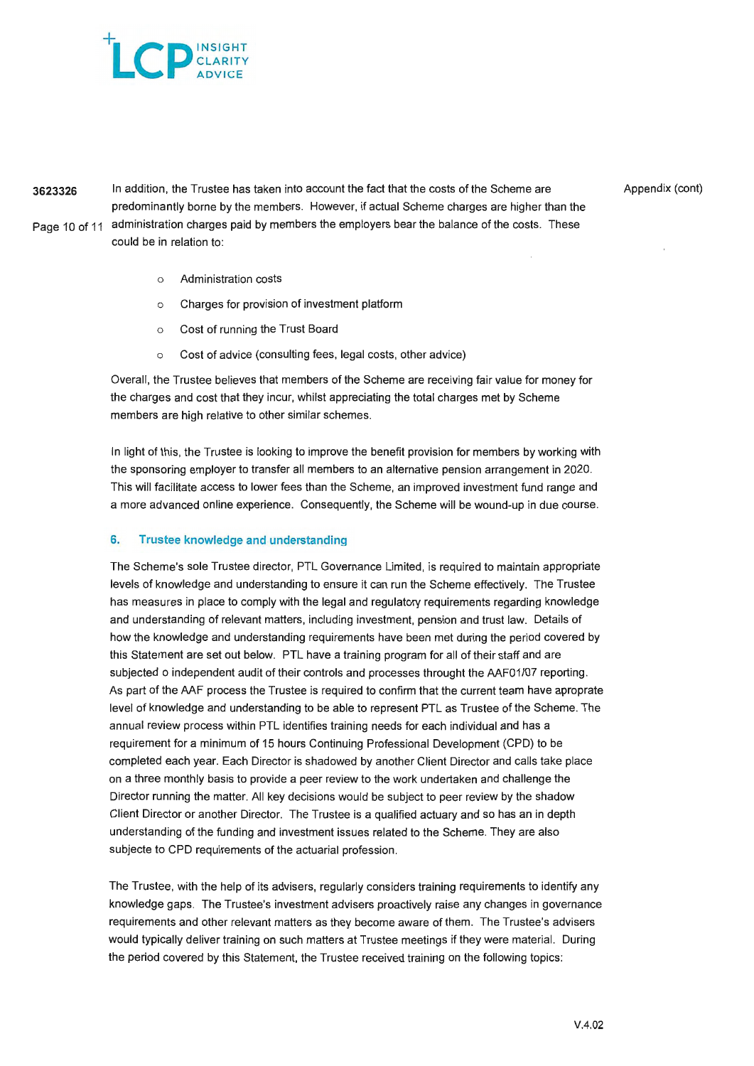

**3623326** In addition, the Trustee has taken into account the fact that the costs of the Scheme are predominantly borne by the members. However, if actual Scheme charges are higher than the Page 10 of 11 administration charges paid by members the employers bear the balance of the costs. These could be in relation to:

Appendix (cont)

- o Administration costs
- o Charges for provision of investment platform
- o Cost of running the Trust Board
- o Cost of advice (consulting fees, legal costs, other advice)

Overall, the Trustee believes that members of the Scheme are receiving fair value for money for the charges and cost that they incur, whilst appreciating the total charges met by Scheme members are high relative to other similar schemes.

In light of this, the Trustee is looking to improve the benefit provision for members by working with the sponsoring employer to transfer all members to an alternative pension arrangement in 2020. This will facilitate access to lower fees than the Scheme, an improved investment fund range and a more advanced online experience. Consequently, the Scheme will be wound-up in due course.

### 6. Trustee knowledge and understanding

The Scheme's sole Trustee director, PTL Governance Limited, is required to maintain appropriate levels of knowledge and understanding to ensure it can run the Scheme effectively. The Trustee has measures in place to comply with the legal and regulatory requirements regarding knowledge and understanding of relevant matters, including investment, pension and trust law. Details of how the knowledge and understanding requirements have been met during the period covered by this Statement are set out below. PTL have a training program for all of their staff and are subjected o independent audit of their controls and processes throught the AAF01/07 reporting. As part of the AAF process the Trustee is required to confirm that the current team have aproprate level of knowledge and understanding to be able to represent PTL as Trustee of the Scheme. The annual review process within PTL identifies training needs for each individual and has a requirement for a minimum of 15 hours Continuing Professional Development (CPD) to be completed each year. Each Director is shadowed by another Client Director and calls take place on a three monthly basis to provide a peer review to the work undertaken and challenge the Director running the matter. All key decisions would be subject to peer review by the shadow Client Director or another Director. The Trustee is a qualified actuary and so has an in depth understanding of the funding and investment issues related to the Scheme. They are also subjecte to CPD requirements of the actuarial profession.

The Trustee, with the help of its advisers, regularly considers training requirements to identify any knowledge gaps. The Trustee's investment advisers proactively raise any changes in governance requirements and other relevant matters as they become aware of them. The Trustee's advisers would typically deliver training on such matters at Trustee meetings if they were material. During the period covered by this Statement, the Trustee received training on the following topics: